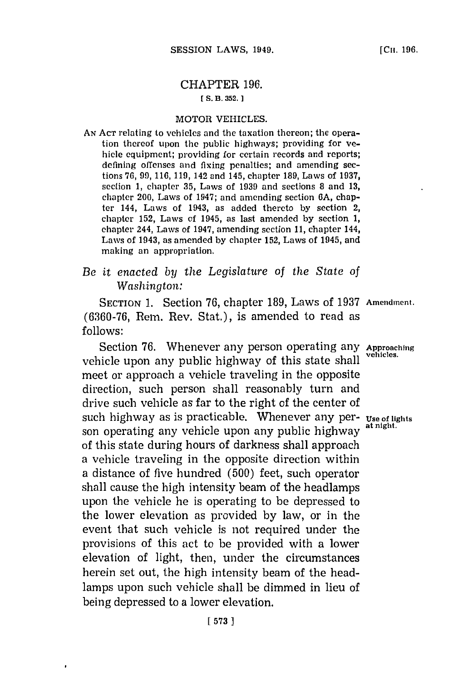# CHAPTER **196.**

## **[ S. B. 352. 1**

### MOTOR VEHICLES.

**AN ACT** relating to vehicles and the taxation thereon; the operation thereof upon the public highways; providing for vehicle equipment; providing for certain records and reports; defining offenses and fixing penalties; and amending sections **76, 99, 116, 119,** 142 and 145, chapter **189,** Laws of **1937,** section **1,** chapter **35,** Laws of **1939** and sections **8** and **13,** chapter 200, Laws of 1947; and amending section **6A,** chapter 144, Laws of 1943, as added thereto **by** section 2, chapter **152,** Laws of 1945, as last amended **by** section **1,** chapter 244, Laws of 1947, amending section **11,** chapter 144, Laws of 1943, as amended **by** chapter **152,** Laws of 1945, and making an appropriation.

## *Be it enacted by the Legislature of the State of Washington:*

**SECTION 1.** Section **76,** chapter **189,** Laws of **1937 Amendinent. (6360-76,** Rem. Rev. Stat.), is amended to read as **follows:**

Section 76. Whenever any person operating any Approaching vehicle upon any public highway of this state shall meet or approach a vehicle traveling in the opposite direction, such person shall reasonably turn and drive such vehicle as far to the right of the center of such highway as is practicable. Whenever any per- **use of lighits** son operating any vehicle upon any public highway of this state during hours of darkness shall approach a vehicle traveling in the opposite direction within a distance of five hundred **(500)** feet, such operator shall cause the high intensity beam of the headlamps upon the vehicle he is operating to be depressed to the lower elevation as provided **by** law, or in the event that such vehicle is not required under the provisions of this act to be provided with a lower elevation of light, then, under the circumstances herein set out, the high intensity beam of the headlamps upon such vehicle shall be dimmed in lieu of being depressed to a lower elevation.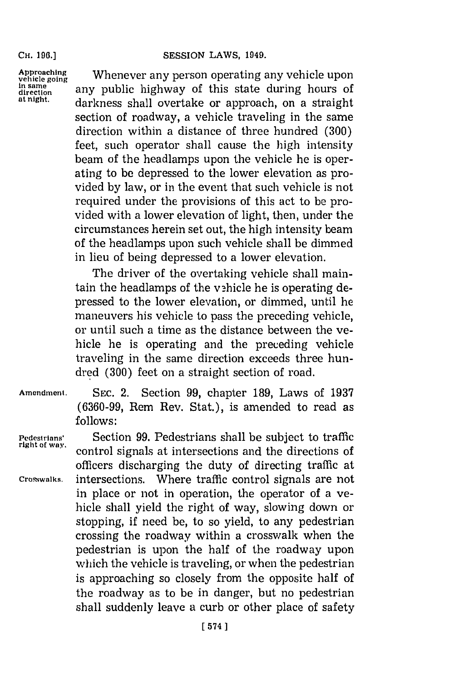#### **SESSION LAWS, 1949.**

**CH. 196.]**

Approaching **Whenever any person operating any vehicle upon**<br>
in same<br>
direction **any public highway of this state during hours of**<br> **at night. doulmess shall symphone** an any proposal and a straight. darkness shall overtake or approach, on a straight section of roadway, a vehicle traveling in the same direction within a distance of three hundred **(300)** feet, such operator shall cause the **high** intensity beam of the headlamps upon the vehicle he is operating to **be** depressed to the lower elevation as provided **by** law, or in the event that such vehicle is not required under the provisions of this act to be provided with a lower elevation of light, then, under the circumstances herein set out, the high intensity beam of the headlamps upon such vehicle shall be dimmed in lieu of being depressed to a lower elevation.

> The driver of the overtaking vehicle shall maintain the headlamps of the vehicle he is operating depressed to the lower elevation, or dimmed, until he maneuvers his vehicle to pass the preceding vehicle, or until such a time as the distance between the vehicle he is operating and the preceding vehicle traveling in the same direction exceeds three hundred **(300)** feet on a straight section of road.

**Amendment. SEC.** 2. Section **99,** chapter **189,** Laws of **1937 (6360-99,** Rem Rev. Stat.), is amended to read as **follows:**

**Pedestrians'** Section **99.** Pedestrians shall be subject to traffic control signals at intersections and the directions of officers discharging the duty of directing traffic at **Crosswalks.** intersections. Where traffic control signals are not in place or not in operation, the operator of a vehicle shall yield the right of way, slowing down or stopping, if need be, to so yield, to any pedestrian crossing the roadway within a crosswalk when the pedestrian is upon the half of the roadway upon which the vehicle is traveling, or when the pedestrian is approaching so closely from the opposite half of the roadway as to be in danger, but no pedestrian shall suddenly leave a curb or other place of safety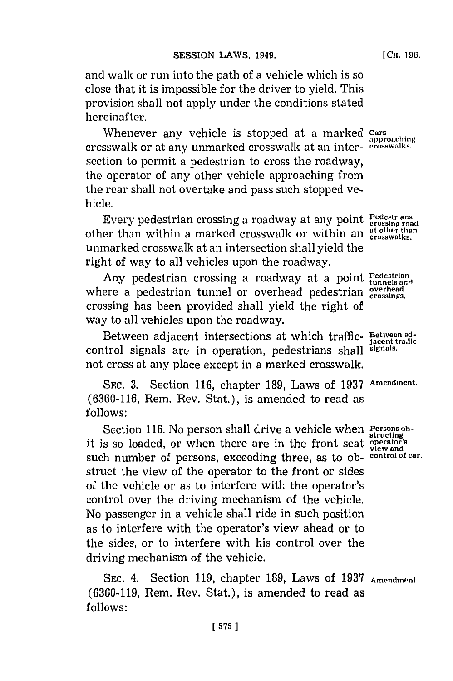and walk or run into the path of a vehicle which is so close that it is impossible for the driver to yield. This provision shall not apply under the conditions stated hereinafter.

Whenever any vehicle is stopped at a marked cars crosswalk or at any unmarked crosswalk at an inter- **crosswalks.** section to permit a pedestrian to cross the roadway, the operator of any other vehicle approaching from the rear shall not overtake and pass such stopped vehicle.

Every pedestrian crossing a roadway at any point Pedestrians other than within a marked crosswalk or within an at other than unmarked crosswalk at an intersection shall yield the right of way to all vehicles upon the roadway.

Any pedestrian crossing a roadway at a point  $P_{\text{tunnels\,ant}}$ where a pedestrian tunnel or overhead pedestrian crossings. crossing has been provided shall yield the right of way to all vehicles upon the roadway.

Between adjacent intersections at which traffic- **Between ad- jacent tralc** control signals are in operation, pedestrians shall **signals.** not cross at any place except in a marked crosswalk.

**SEC. 3.** Section **116,** chapter **189,** Laws of **1937 Amendmnent. (6360-116,** Rem. Rev. Stat.), is amended to read as **follows:**

Section 116. No person shall crive a vehicle when **Persons ob-**<br> **structing** it is so loaded, or when there are in the front seat **operator's view and** such number of persons, exceeding three, as to ob- **control of car.** struct the view of the operator to the front or sides of the vehicle or as to interfere with the operator's control over the driving mechanism of the vehicle. No passenger in a vehicle shall ride in such position as to interfere with the operator's view ahead or to the sides, or to interfere with his control over the driving mechanism of the vehicle.

**SEC.** 4. Section **119,** chapter **189,** Laws of **1937 Amendment. (6360-119,** Rem. Rev. Stat.), is amended to read as **follows:**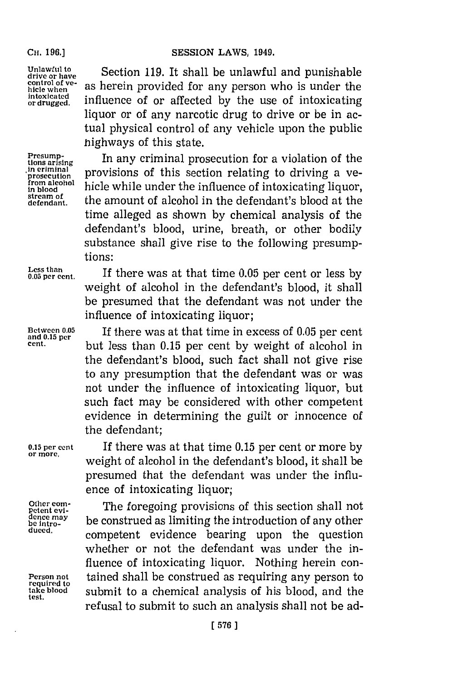### **CH. 196.] SESSION LAWS, 1949.**

**Other com-**<br>**petent evi-**

**required to**<br>take blood

Unlawful to  $\begin{array}{c} \text{Unlawful to} \\ \text{drive or have} \end{array}$  Section 119. It shall be unlawful and punishable **control of v**: drive or have<br>control of ve-<br>hicle when **as herein provided for any person who is under th**<br>intoxicated **influence** of an effected by the succes of inteniestin hicle when as herein provided for any person who is under the<br>intoxicated. **influence of or affected** by the use of intoxicating liquor or of any narcotic drug to drive or be in actual physical control of any vehicle upon the public highways of this state.

**the example of the state.**<br> **tions arising In any criminal prosecution for a violation of the**<br>
<u>in criminal</u> **or prosecution** of the protion relative to histing tions arising<br>in eriminal<br>provisions of this section relating to driving a ve-<br>prosecution<br>from algohol ti-turn bile we had the details of the section  $\frac{1}{2}$  in alcohol highle while under the influence of intoxicating liquor, **stream of** the amount of alcohol in the defendant's blood at the time alleged as shown **by** chemical analysis of the defendant's blood, urine, breath, or other bodily substance shall give rise to the following presumptions:

**Less than** b **0.05 per cent.** If there was at that time **0.05** per cent or less **b** weight of alcohol in the defendant's blood, it shall be presumed that the defendant was not under the influence of intoxicating liquor;

**Between 0.05** If there was at that time in excess of **0.05** per cent **and 0.15 per cent,** but less than **0.15** per cent **by** weight of alcohol in the defendant's blood, such fact shall not give rise to any presumption that the defendant was or was not under the influence of intoxicating liquor, but such fact may be considered with other competent evidence in determining the guilt or innocence of the defendant;

**0.15 per cent** If there was at that time **0.15** per cent or more **by** weight of alcohol in the defendant's blood, it shall be presumed that the defendant was under the influence of intoxicating liquor;

**Putter com-**<br>
petent evi-<br> **Petent evidence** and **performed** as limiting the introduction of any other <u>dence and</u> the **International conducts** of the **Introduction** of any other becomer be construed as limiting the introduction of any other and the competent evidence bearing upon the question whether or not the defendant was under the influence of intoxicating liquor. Nothing herein con-**Person not** tained shall be construed as requiring any person to **take blood** submit to a chemical analysis of his blood, and the **test.** refusal to submit to such an analysis shall not be ad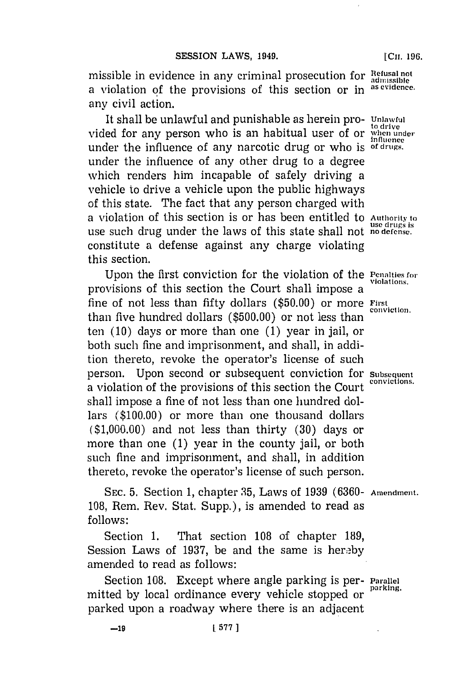missible in evidence in any criminal prosecution for Refusal not a violation of the provisions of this section or in **as evidence.** any civil action.

It shall be unlawful and punishable as herein pro- **Unlawful** vided for any person who is an habitual user of or *when under*<br>*when under* under the influence of any narcotic drug or who is of drugs. under the influence of any other drug to a degree which renders him incapable of safely driving a vehicle to drive a vehicle upon the public highways of this state. The fact that any person charged with a violation of this section is or has been entitled to **Authority' to use drugs Is** use such drug under the laws of this state shall not **no defense.** constitute a defense against any charge violating this section.

Upon the first conviction for the violation of the **Penalties for** provisions of this section the Court shall impose a fine of not less than fifty dollars **(\$50.00)** or more **First** in than five hundred dollars (\$500.00) or not less than ten **(10)** days or more than one **(1)** year in jail, or both such fine and imprisonment, and shall, in addition thereto, revoke the operator's license of such person. Upon second or subsequent conviction for subsequent a violation of the provisions of this section the Court shall impose a fine of not less than one hundred dollars **(\$100.00)** or more than one thousand dollars **(\$1,000.00)** and not less than thirty **(30)** days or more than one **(1)** year in the county jail, or both such fine and imprisonment, and shall, in addition thereto, revoke the operator's license of such person.

**SEC. 5.** Section **1,** chapter **35,** Laws of **1939 (6360- Amendment. 108,** Rem. Rev. Stat. Supp.), is amended to read as **follows:**

Section **1.** That section **108** of chapter **189,** Session Laws of 1937, be and the same is hereby amended to read as follows:

Section **108.** Except where angle parking is per- **Parallel** mitted by local ordinance every vehicle stopped or parked upon a roadway where there is an adjacent

[Cii. **196.**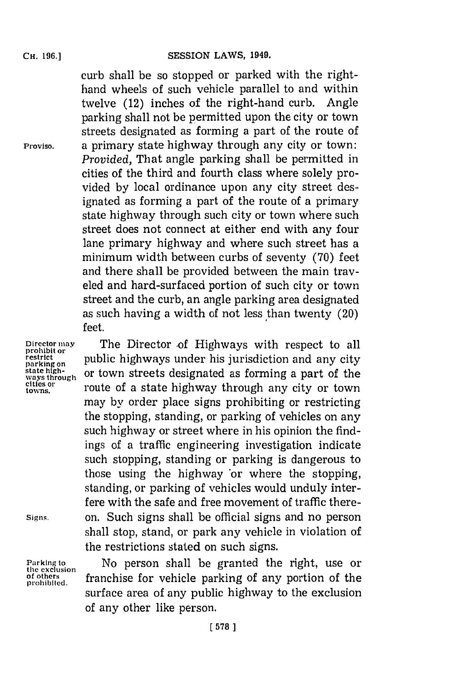curb shall be so stopped. or parked with the righthand wheels of such vehicle parallel to and within twelve (12) inches of the right-hand curb. Angle parking shall not be permitted upon the city or town streets designated as forming a part of the route of **Proviso,** a primary state highway through any city or town: *Provided*, That angle parking shall be permitted in cities of the third and fourth class where solely provided **by** local ordinance upon any city street designated as forming a part of the route of a primary state highway through such city or town where such street does not connect at either end with any four lane primary highway and where such street has a minimum width between curbs of seventy **(70)** feet and there shall be provided between the main traveled and hard-surfaced portion of such city or town street and the curb, an angle parking area designated as such having a width of not less than twenty (20) feet.

Director may **Director -of Highways with respect to all restrict or public highways under his jurisdiction and any city**  $\frac{1}{n}$  state high-or town streets designated as forming a part of the cities or **properties**  $\frac$ or town streets designated as forming a part of the **towns.** route of a state highway through any city or town may **by** order place signs prohibiting or restricting the stopping, standing, or parking of vehicles on any such highway or street where in his opinion the findings of a traffic engineering investigation indicate such stopping, standing or parking is dangerous to those using the highway 'or where the stopping, standing, or parking of vehicles would unduly interfere with the safe and free movement of traffic there-**Signs.** on. Such signs shall be official signs and no person shall stop, stand, or park any vehicle in violation of the restrictions stated on such signs.

Parking to **Mo** person shall be granted the right, use or the exclusion **of the frame in a set of the** prohibited.<br>prohibited. framchise for vehicle parking of any portion of the surface area of any public highway to the exclusion of any other like person.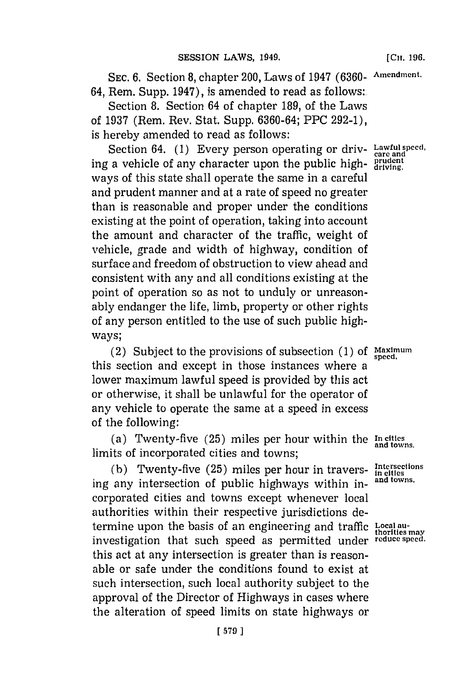SEC. 6. Section 8, chapter 200, Laws of 1947 (6360- Amendment. 64, Rem. Supp. 1947), is amended to read as follows:.

Section **8.** Section 64 of chapter **189,** of the Laws of **1937** (Rem. Rev. Stat. Supp. **6360-64;** PPC **292-1),** is hereby amended to read as follows:

Section 64. (1) Every person operating or driv- Lawful speed, ing a vehicle of any character upon the public high- $_{\text{driving}}^{\text{prudent}}$ ways of this state shall operate the same in a careful and prudent manner and at a rate of speed no greater than is reasonable and proper under the conditions existing at the point of operation, taking into account the amount and character of the traffic, weight of vehicle, grade and width of highway, condition of surface and freedom of obstruction to view ahead and consistent with any and all conditions existing at the point of operation so as not to unduly or unreasonably endanger the life, limb, property or other rights of any person entitled to the use of such public highways;

(2) Subject to the provisions of subsection  $(1)$  of Maximum this section and except in those instances where a lower maximum lawful speed is provided **by** this act or otherwise, it shall be unlawful for the operator of any vehicle to operate the same at a speed in excess of the following:

(a) Twenty-five **(25)** miles per hour within the **In cities** limits of incorporated cities and towns;

(b) Twenty-five  $(25)$  miles per hour in travers- in cities in  $\frac{1}{2}$  in  $\frac{1}{2}$  in  $\frac{1}{2}$  in  $\frac{1}{2}$  in  $\frac{1}{2}$  and towns. ing any intersection of public highways within incorporated cities and towns except whenever local authorities within their respective jurisdictions determine upon the basis of an engineering and traffic **Localu**investigation that such speed as permitted under **reduce speed.** this act at any intersection is greater than is reasonable or safe under the conditions found to exist at such intersection, such local authority subject to the approval of the Director of Highways in cases where the alteration of speed limits on state highways or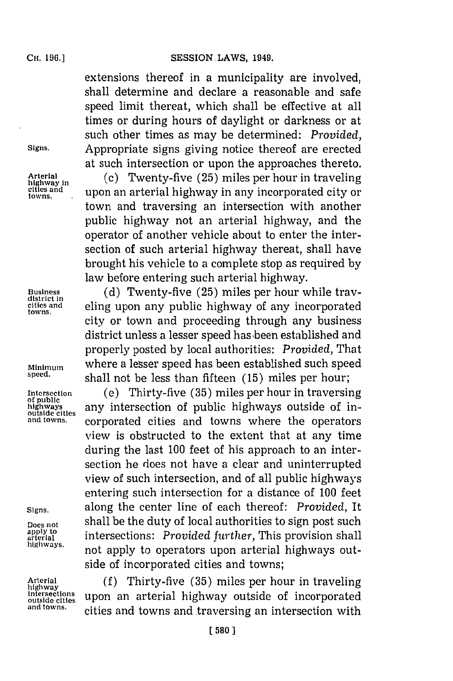extensions thereof in a municipality are involved, shall determine and declare a reasonable and safe speed limit thereat, which shall be effective at all times or during hours of daylight or darkness or at such other times as may be determined: *Provided,* Signs. Appropriate signs giving notice thereof are erected at such intersection or upon the approaches thereto.

Arterial *(c)* Twenty-five (25) miles per hour in traveling highway in cities and **upon an arterial highway in any incorporated city or towns.** town and traversing an intersection with another public highway not an arterial highway, and the operator of another vehicle about to enter the intersection of such arterial highway thereat, shall have brought his vehicle to a complete stop as required **by** law before entering such arterial highway.

**Business (d)** Twenty-five **(25)** miles per hour while tray- **district in** cities **and** eling upon any public highway of any incorporated towns., city or town and proceeding through any business district unless a lesser speed has been established and properly posted **by** local authorities: *Provided,* That **Minimum** where a lesser speed has been established such speed shall not be less than fifteen (15) miles per hour;

**Intersection** (e) Thirty-five **(35)** miles per hour in traversing **highways** any intersection of public highways outside of in**and towns.** corporated cities and towns where the operators view is obstructed to the extent that at any time during the last **100** feet of his approach to an intersection he does not have a clear and uninterrupted view of such intersection, and of all public highways entering such intersection for a distance of **100** feet **Signs.** along the center line of each thereof: *Provided,* It Does not **build shall be the duty of local authorities to sign post such**<br>apply to *intersections: Provided further***, This provision shall** apply to intersections: *Provided further*, This provision shall highways. **highways.** not apply to operators upon arterial highways outside of incorporated cities and towns;

**Arterial (f)** Thirty-five **(35)** miles per hour in traveling intersections upon an arterial highway outside of incorporated **and towns.** cities and towns and traversing an intersection with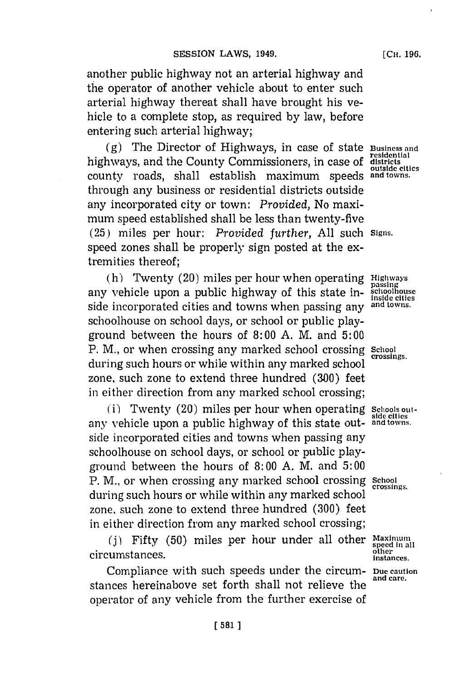another public highway not an arterial highway and the operator of another vehicle about to enter such arterial highway thereat shall have brought his vehicle to a complete stop, as required **by** law, before entering such arterial highway;

**(g)** The Director of Highways, in case of state **Business and residential** highways, and the County Commissioners, in case **of districtsi** county roads, shall establish maximum speeds **and towns.** through any business or residential districts outside any incorporated city or town: *Provided,* No maximum speed established shall be less than twenty-five **(25)** miles per hour: *Provided further,* **All** such **Signs.** speed zones shall be properly sign posted at the extremities thereof;

(h) Twenty (20) miles per hour when operating **Highways**<br>vehicle upon a public highway of this state in-schoolhouse<br>lightany vehicle upon a public highway of this state inside incorporated cities and towns when passing any **and towns.** schoolhouse on school days, or school or public playground between the hours of **8: 00 A.** M. and **5: 00** P. M., or when crossing any marked school crossing School during such hours or while within any marked school **crossings.** zone, such zone to extend three hundred **(300)** feet in either direction from any marked school crossing;

(i) Twenty (20) miles per hour when operating schools outany vehicle upon a public highway of this state out- **and towns.** side incorporated cities and towns when passing any schoolhouse on school days, or school or public playground between the hours of **8: 00 A.** M. and **5: 00** P. M., or when crossing any marked school crossing School during such hours or while within any marked school zone, such zone to extend three hundred **(300)** feet in either direction from any marked school crossing;

**(j)** Fifty **(50)** miles per hour under all other **Maximum speed in all outerment circumstances.** is a contract of the contract of the contract of the contract of the contract of the contract of the contract of the contract of the contract of the contract of the contract of the contract of th

Compliance with such speeds under the circum- **Due caution** stances hereinabove set forth shall not relieve the operator of any vehicle from the further exercise of

[Cu. **196.**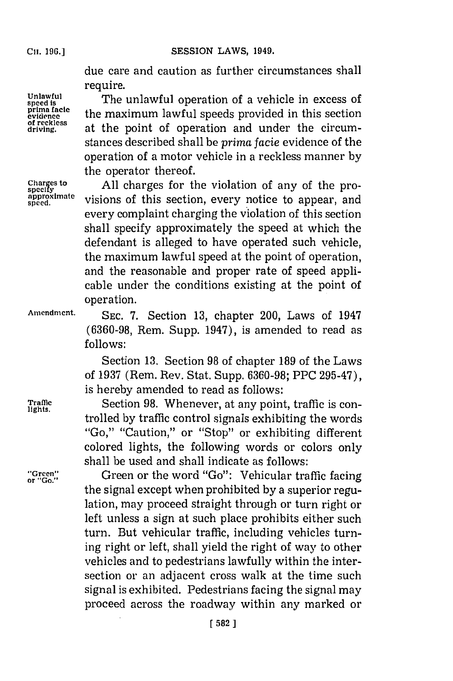**of reckless**

Cii. **196.] SESSION** LAWS, 1949.

due care and caution as further circumstances shall require.

Unlawful The unlawful operation of a vehicle in excess of<br>prima facte the movimum lough angels movided in this section **prima facie** the maximum lawful speeds provided in this section **driving,** at the point of operation and under the circumstances described shall be *prima facie* evidence of the operation of a motor vehicle in a reckless manner **by** the operator thereof.

Charges to **All charges for the violation of any of the pro-**<br>specify<br>approximate visions of this soction, overy potice to approximate **approximate** visions of this section, every notice to appear, and every complaint charging the violation of this section shall specify approximately the speed at which the defendant is alleged to have operated such vehicle, the maximum lawful speed at the point of operation, and the reasonable and proper rate of speed applicable under the conditions existing at the point of operation.

**Amendment. SEC. 7.** Section **13,** chapter 200, Laws of 1947 **(6360-98,** Rem. Supp. 1947), is amended to read as **follows:**

> Section **13.** Section **98** of chapter **189** of the Laws of **1937** (Rem. Rev. Stat. Supp. **6360-98;** PPC **295-47),** is hereby amended to read as follows:

Traffic **Section 98. Whenever, at any point, traffic is con-** lights. trolled **by** traffic control signals exhibiting the words "Go," "Caution," or "Stop" or exhibiting different colored lights, the following words or colors only shall be used and shall indicate as follows:

"Green" **computed Green or the word "Go": Vehicular traffic facing** the signal except when prohibited **by** a superior regulation, may proceed straight through or turn right or left unless a sign at such place prohibits either such turn. But vehicular traffic, including vehicles turning right or left, shall yield the right of way to other vehicles and to pedestrians lawfully within the intersection or an adjacent cross walk at the time such signal is exhibited. Pedestrians facing the signal may proceed across the roadway within any marked or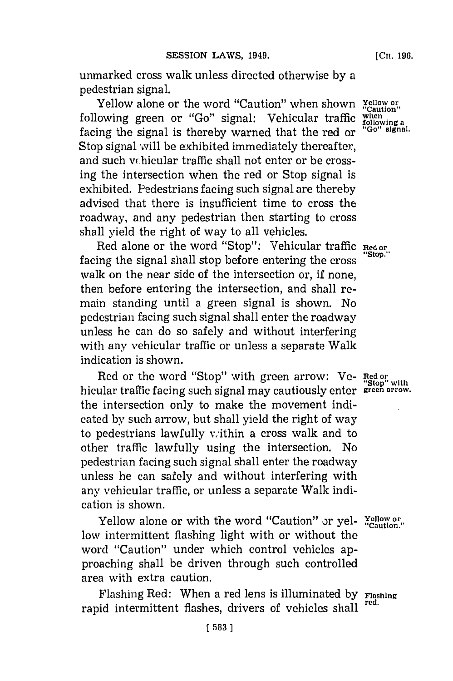unmarked cross walk unless directed otherwise **by** a pedestrian signal.

Yellow alone or the word "Caution" when shown **Yellow or**  $\frac{1}{2}$  (Caution" caution"  $\frac{1}{2}$ following green or "Go" signal: Vehicular traffic when regional following a focus the cignal is thereby warned that the red or "Go" signal. facing the signal is thereby warned that the red or Stop signal will be exhibited immediately thereafter, and such vchicular traffic shall not enter or be crossing the intersection when the red or Stop signal is exhibited. Pedestrians facing such signal are thereby advised that there is insufficient time to cross the roadway, and any pedestrian then starting to cross shall yield the right of way to all vehicles.

Red alone or the word "Stop": Vehicular traffic **Red or** facing the signal shall stop before entering the cross. walk on the near side of the intersection or, if none, then before entering the intersection, and shall remain standing until a green signal is shown. No pedestrian facing such signal shall enter the roadway unless he can do so safely and without interfering with any vehicular traffic or unless a separate Walk indication is shown.

Red or the word "Stop" with green arrow: Ve- **Red or** "Stop" with<br>hicular traffic facing such signal may cautiously enter **green arrow**. the intersection only to make the movement indicated **by** such arrow, but shall yield the right of way to pedestrians lawfully within a cross walk and to other traffic lawfully using the intersection. No pedestrian facing such signal shall enter the roadway unless he can safely and without interfering with any vehicular traffic, or unless a separate Walk indication is shown.

Yellow alone or with the word "Caution" or yel- **Yellow or "Caution."** low intermittent flashing light with or without the word "Caution" under which control vehicles approaching shall be driven through such controlled area with extra caution.

Flashing Red: When a red lens is illuminated **by Flashing** rapid intermittent flashes, drivers of vehicles shall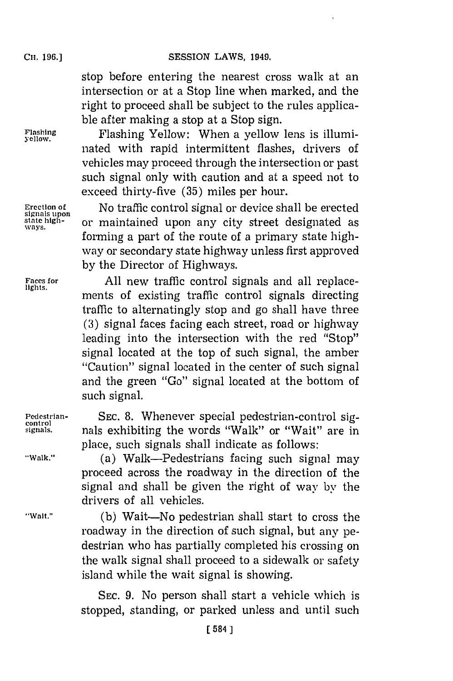stop before entering the nearest cross walk at an intersection or at a Stop line when marked, and the right to proceed shall be subject to the rules applicable after making a stop at a Stop sign.

**Flashing** Fahn elw hnaylo esi lui **yellow.** Fahn elw hnaylo esi lui nated with rapid intermittent flashes, drivers of vehicles may proceed through the intersection or past such signal only with caution and at a speed not to exceed thirty-five **(35)** miles per hour.

**Erection of** No traffic control signal or device shall be erected state high-<br>ways. or maintained upon any city street designated as forming a part of the route of a primary state highway or secondary state highway unless first approved **by** the Director of Highways.

**Faces for All new traffic control signals and all replace**ments of existing traffic control signals directing traffic to alternatingly stop and go shall have three **(3)** signal faces facing each street, road or highway leading into the intersection with the red "Stop" signal located at the top of such signal, the amber "Caution" signal located in the center of such signal and the green "Go" signal located at the bottom of such signal.

**Pedestrian- SEC. 8.** Whenever special pedestrian-control sig- **control signals.** nals exhibiting the words "Walk" or "Wait" are in place, such signals shall indicate as follows:

**"Walk."** (a) Walk-Pedestrians facing such signal may proceed across the roadway in the direction of the signal and shall be given the right of way **by** the drivers of all vehicles.

**"Wait." (b)** Wait-No pedestrian shall start to cross the roadway in the direction of such signal, but any pedestrian who has partially completed his crossing on the walk signal shall proceed to a sidewalk or safety island while the wait signal is showing.

> **SEC. 9.** No person shall start a vehicle which is stopped, standing, or parked unless and until such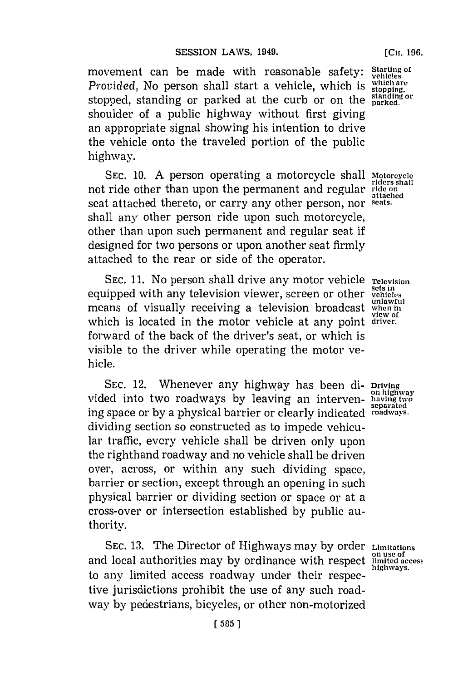**[CH. 196.**

movement can be made with reasonable safety: Starting of *Provided*, No person shall start a vehicle, which is which are stopped, standing or parked at the curb or on the **standing** or shoulder of a public highway without first giving an appropriate signal showing his intention to drive the vehicle onto the traveled portion of the public highway.

**SEC. 10. A** person operating a motorcycle shall **Motorcycle** not ride other than upon the permanent and regular ride on seat attached thereto, or carry any other person, nor **seats.** shall any other person ride upon such motorcycle, other than upon such permanent and regular seat if designed for two persons or upon another seat firmly attached to the rear or side of the operator.

**SEC. 11.** No person shall drive any motor vehicle **Television** equipped with any television viewer, screen or other **vetlicIes** means of visually receiving a television broadcast when in which is located in the motor vehicle at any point **driver.** forward of the back of the driver's seat, or which is visible to the driver while operating the motor vehicle.

**SEC.** 12. Whenever any highway has been **di- Driving** vided into two roadways by leaving an interven- having way ing space or **by** a physical barrier or clearly indicated **roadways.** dividing section so constructed as to impede vehicular traffic, every vehicle shall be driven only upon the righthand roadway and no vehicle shall be driven over, across, or within any such dividing space, barrier or section, except through an opening in such physical barrier or dividing section or space or at a cross-over or intersection established **by** public authority.

**SEC. 13.** The Director of Highways may **by** order **Limitations** and local authorities may by ordinance with respect to any limited access roadway under their respective jurisdictions prohibit the use of any such roadway by pedestrians, bicycles, or other non-motorized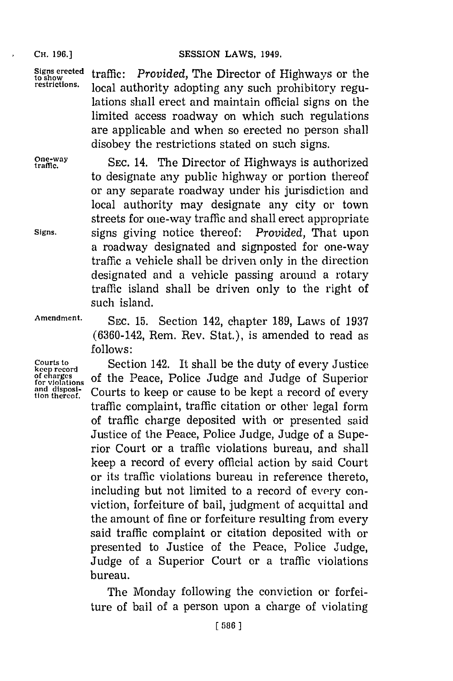**CHi. 196.] SESSION LAWS, 1949.**

Signs erected traffic: *Provided*, The Director of Highways or the restrictions. local outboutty adopting any guch probibitory nogy. local authority adopting any such prohibitory regulations shall erect and maintain official signs on the limited access roadway on which such regulations are applicable and when so erected no person shall disobey the restrictions stated on such signs.

**be charges**<br>for violations<br>and disposi-<br>tion thereof.

One-way **SEC. 14. The Director of Highways is authorized** to designate any public highway or portion thereof or any separate roadway under his jurisdiction and local authority may designate any city or town streets for one-way traffic and shall erect appropriate **Signs.** signs giving notice thereof: *Provided,* That upon a roadway designated and signposted for one-way traffic a vehicle shall be driven only in the direction designated and a vehicle passing around a rotary traffic island shall be driven only to the right of such island.

**Amendment. SEC. 15.** Section 142, chapter **189,** Laws of **1937 (6360-142,** Rem. Rev. Stat.), is amended to read as **follows:**

**Courts to** Section 142. It shall be the duty of every Justice **keep record** of the Peace, Police Judge and Judge of Superior Courts to keep or cause to be kept a record of every traffic complaint, traffic citation or other legal form<br>of traffic charge deposited with or presented said Justice of the Peace, Police Judge, Judge of a Superior Court or a traffic violations bureau, and shall keep a record of every official action **by** said Court or its traffic violations bureau in reference thereto, including but not limited to a record of every conviction, forfeiture of bail, judgment of acquittal and the amount of fine or forfeiture resulting from every said traffic complaint or citation deposited with or presented to Justice of the Peace, Police Judge, Judge of a Superior Court or a traffic violations bureau.

> The Monday following the conviction or forfeiture of bail of a person upon a charge of violating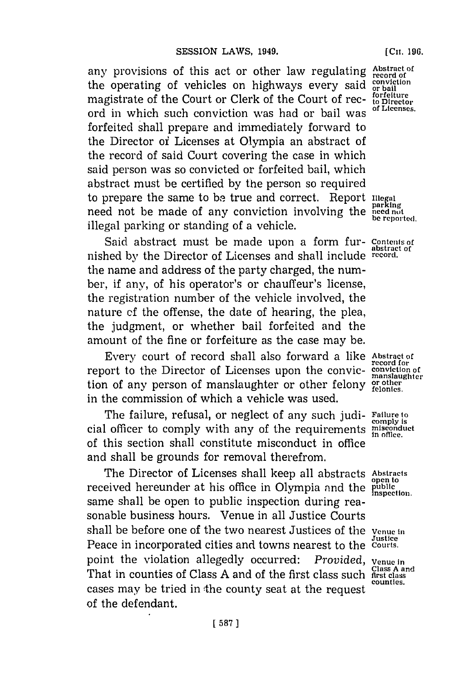any provisions of this act or other law regulating **Abstract of** the operating of vehicles on highways every said conviction<br>magnitude of the Count on Clark of the Count of neg forfeiture magistrate of the Court or Clerk of the Court of rec- $_{\text{to}}^{\text{forfelture}}$ ord in which such conviction was had or bail was forfeited shall prepare and immediately forward to the Director oi Licenses at Olympia an abstract of the record of said Court covering the case in which said person was so convicted or forfeited bail, which abstract must be certified **by** the person so required to prepare the same to be true and correct. Report  $\prod_{\substack{\text{parallel} \\ \text{parking}}}$ need not be made of any conviction involving the **need not** illegal parking or standing of a vehicle.

Said abstract must be made upon a form fur- Contents of nished **by** the Director of Licenses and shall include **record.** the name and address of the party charged, the number, if any, of his operator's or chauffeur's license, the registration number of the vehicle involved, the nature **of** the offense, the date of hearing, the plea, the judgment, or whether bail forfeited and the amount of the fine or forfeiture as the case may be.

Every court of record shall also forward a like **Abstract of** report to the Director of Licenses upon the convic- conviction of tion of any person of manslaughter or other felony or other in the commission of which a vehicle was used.

The failure, refusal, or neglect of any such judi- **Failure to cial officer to comply with any of the requirements missionduct in** office. of this section shall constitute misconduct in office and shall be grounds for removal therefrom.

The Director of Licenses shall keep all abstracts **Abstracts** received hereunder at his office in Olympia and the public inspection. same shall be open to public inspection during reasonable business hours. Venue in all Justice Courts shall be before one of the two nearest Justices of the **Venue in** Peace in incorporated cities and towns nearest to the Courts. point the violation allegedly occurred: *Provided*, *venue in* That in counties of Class A and of the first class such **first class** A and cases may be tried in the county seat at the request of the defendant.

**record for**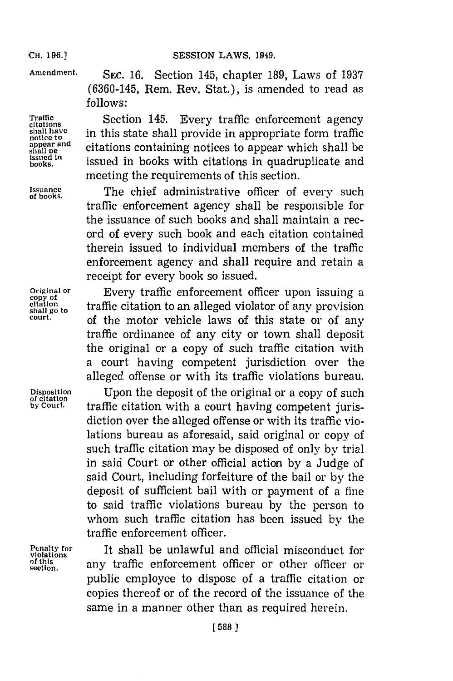**Cii. 196.) SESSION LAWS, 1949.**

**Amendment. SEC. 16.** Section 145, chapter **189,** Laws of **1937 (6360-145,** Rem. Rev. Stat.), is amended to read as *follows:*

**Traffic**<br>
citations<br>
shall have in this state shall provide in appropriate form traffice shall have in this state shall provide in appropriate form traffic appear and<br>shall be shall in the shall in the shall be containing notices to appear which shall be<br>issued in the case of the class with sitations in our duralizate and **issued inli** ok wt n **books.** issued ibokwthcitations in qudulct n meeting the requirements of this section.

Issuance<br>
of books. The chief administrative officer of every such traffic enforcement agency shall be responsible for the issuance of such books and shall maintain a record of every such book and each citation contained therein issued to individual members of the traffic enforcement agency and shall require and retain a receipt for every book so issued.

**Original or** Every traffic enforcement officer upon issuing a  $\frac{\text{citation}}{\text{shall go to}}$  traffic citation to an alleged violator of any provision **court,** of the motor vehicle laws of this state or of any traffic ordinance of any city or town shall deposit the original or a copy of such traffic citation with a court having competent jurisdiction over the alleged offense or with its traffic violations bureau.

Disposition **Leapen** Upon the deposit of the original or a copy of such by Court. **the final final field**  $\frac{d}{dx}$  for court **b** traffic citation with a court having competent jurisdiction over the alleged offense or with its traffic violations bureau as aforesaid, said original or copy of such traffic citation may be disposed of only **by** trial in said Court or other official action **by** a Judge of said Court, including forfeiture of the bail or **by** the deposit of sufficient bail with or payment of a fine to said traffic violations bureau **by** the person to whom such traffic citation has been issued **by** the traffic enforcement officer.

**Pcnalty for It shall be unlawful and official misconduct for violations** of this any traffic enforcement officer or other officer or public employee to dispose of a traffic citation or copies thereof or of the record of the issuance of the same in a manner other than as required herein.

**copy of**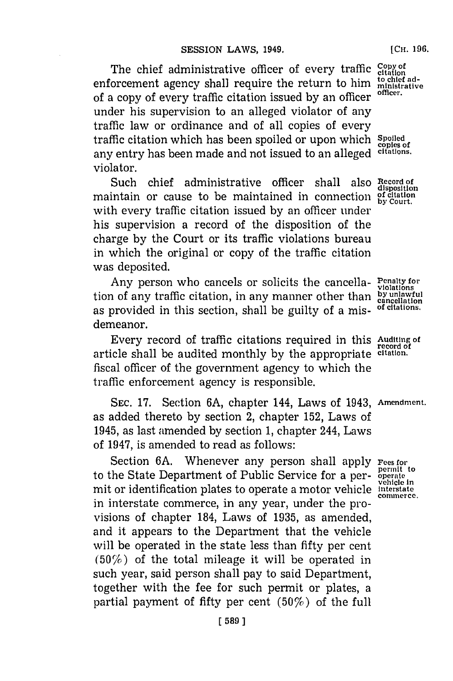The chief administrative officer of every traffic *copy* of enforcement agency shall require the return to him ministrative<br>  $\int_{\mathbb{R}} e^{-\frac{1}{2}x} \cos \theta \cos \theta$  returns to  $\theta$  respectively of a copy of every traffic citation issued **by** an officer **officer.** under his supervision to an alleged violator of any traffic law or ordinance and of all copies of every traffic citation which has been spoiled or upon which **Spoiled copies of** any entry has been made and not issued to an alleged **citations.** violator.

Such chief administrative officer shall also **Record of disposition** maintain or cause to be maintained in connection with every traffic citation issued **by** an officer under his supervision a record of the disposition of the charge **by** the Court or its traffic violations bureau in which the original or copy of the traffic citation was deposited.

Any person who cancels or solicits the cancella- **Penalty for** tion of any traffic citation, in any manner other than **by unlawful**<br>tion of any traffic citation, in any manner other than **by unlawful** as provided in this section, shall be guilty of a mis- of citations. demeanor.

Every record of traffic citations required in this **Auditing of record of** article shall be audited monthly **by** the appropriate **citation.** fiscal officer of the government agency to which the traffic enforcement agency is responsible.

**SEC. 17.** Section **6A,** chapter 144, Laws of 1943, **Amendment.** as added thereto **by** section 2, chapter **152,** Laws of 1945, as last amended **by** section **1,** chapter 244, Laws of 1947, is amended to read as follows:

Section 6A. Whenever any person shall apply **Fees for** bermit to the State Department of Public Service for a per- operate to the State Department of Public Service for a per- **operate vehicle in** mit or identification plates to operate a motor vehicle **interstate** in interstate commerce, in any year, under the provisions of chapter 184, Laws of **1935,** as amended, and it appears to the Department that the vehicle will be operated in the state less than fifty per cent  $(50\%)$  of the total mileage it will be operated in such year, said person shall pay to said Department, together with the fee for such permit or plates, a partial payment of fifty per cent  $(50\%)$  of the full

**Commerce.**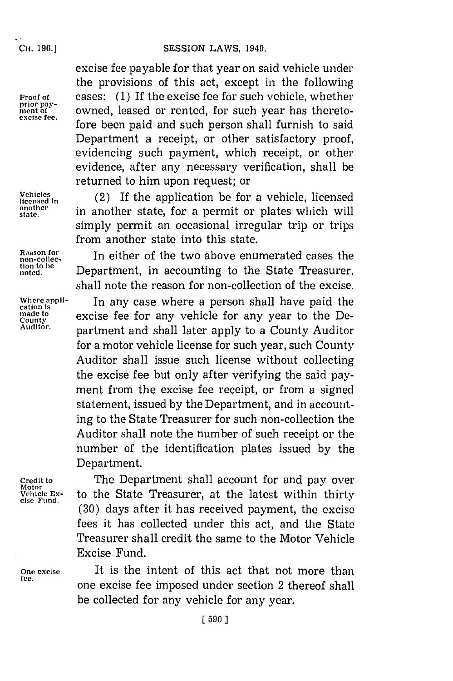#### **SESSION LAWS, 1949.**

Cii. **196.]**

excise fee payable for that year on said vehicle under the provisions of this act, except in the following **Proof of cases:** (1) If the excise fee for such vehicle, whether prior pay-<br>ment of **comment** owned, leased or rented, for such vear has theretoprior pay-<br>ment of **mient** owned, leased or rented, for such year has thereto-<br>excluse fee. fore been paid and such person shall furnish to said Department a receipt, or other satisfactory proof, evidencing such payment, which receipt, or other evidence, after any necessary verification, shall be returned to him upon request; or

**Licensed in** (2) If the application be for a vehicle, licensed<br>
Identical in a vertice that for a narration plates which will  $\frac{\text{another}}{\text{state}}$  in another state, for a permit or plates which will simply permit an occasional irregular trip or trips from another state into this state.

**Vehicles**

**cation is**

**Motor**

**Credit to** The Department shall account for and pay over **vehicle Ex-** to the State Treasurer, at the latest within thirty **cise Fund. (30)** days after it has received payment, the excise fees it has collected under this act, and the State Treasurer shall credit the same to the Motor Vehicle Excise Fund.

**One excise It is the intent of this act that not more than**  $\text{f}$ one excise fee imposed under section 2 thereof shall be collected for any vehicle for any year.

Reason for **In** either of the two above enumerated cases the tion to be<br>noted. **Example Department**, in accounting to the State Treasurer, shall note the reason for non-collection of the excise.

**Where appli-** In any case where a person shall have paid the where a person shall have paid the<br>cation is<br><sub>County</sub> excise fee for any vehicle for any year to the De **Auditor.** partment and shall later apply to a County Auditor for a motor vehicle license for such year, such County Auditor shall issue such license without collecting the excise fee but only after verifying the said payment from the excise fee receipt, or from a signed statement, issued **by** the Department, and in accounting to the State Treasurer for such non-collection the Auditor shall note the number of such receipt or the number of the identification plates issued **by** the Department.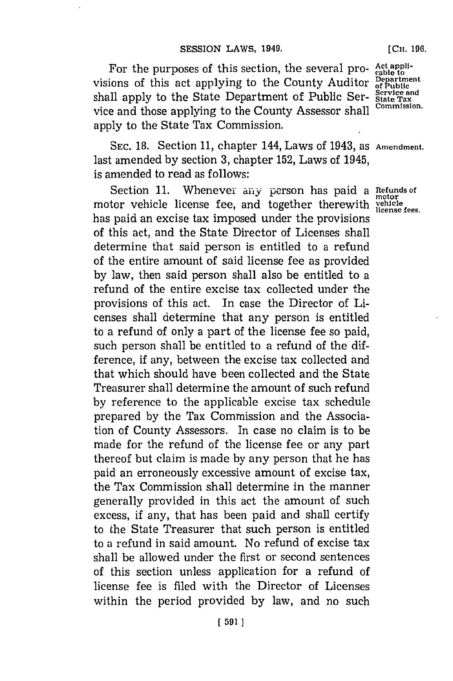For the purposes of this section, the several pro- **Act appli-** to visions of this act applying to the County Auditor **Department** shall apply to the State Department of Public Ser- State Tax<br>wise and these combined to the County Assessor al. 11 Commission. vice and those applying to the County Assessor shall apply to the State Tax Commission.

**SEC. 18.** Section **11,** chapter 144, Laws of 1943, as **Amendment.** last amended **by** section **3,** chapter **152,** Laws of 1945, is amended to read as follows:

Section 11. Whenever any person has paid a Refunds of motor vehicle license fee, and together therewith *vehicle* has paid an excise tax imposed under the provisions of this act, and the State Director of Licenses shall determine that said person is entitled to a refund of the entire amount of said license fee as provided **by** law, then said person shall also be entitled to a refund of the entire excise tax collected under the provisions of this act. In case the Director of Licenses shall determine that any person is entitled to a refund of only a part of the license fee so paid, such person shall be entitled to a refund of the difference, if any, between the excise tax collected and that which should have been collected and the State Treasurer shall determine the amount of such refund **by** reference to the applicable excise tax schedule prepared **by** the Tax Commission and the Association of County Assessors. In case no claim is to be made for the refund of the license fee or any part thereof but claim is made **by** any person that he has paid an erroneously excessive amount of excise tax, the Tax Commission shall determine in the manner generally provided in this act the amount of such excess, if any, that has been paid and shall certify to the State Treasurer that such person is entitled to a refund in said amount. No refund of excise tax shall be allowed under the first or second sentences of this section unless application for a refund of license fee is filed with the Director of Licenses within the period provided **by** law, and no such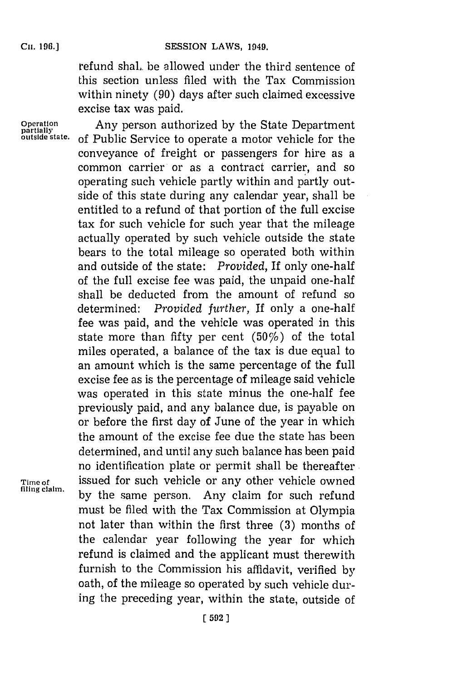refund shal.. be allowed under the third sentence of this section unless filed with the Tax Commission within ninety **(90)** days after such claimed excessive excise tax was paid.

**operation** Any person authorized **by** the State Department of Public Service to operate a motor vehicle for the conveyance of freight or passengers for hire as a common carrier or as a contract carrier, and so operating such vehicle partly within and partly outside of this state during any calendar year, shall be entitled to a refund of that portion of the full excise tax for such vehicle for such year that the mileage actually operated **by** such vehicle outside the state bears to the total mileage so operated both within and outside of the state: *Provided,* **If** only one-half of the full excise fee was paid, the unpaid one-half shall be deducted from the amount of refund so determined: *Provided further,* If only a one-half fee was paid, and the vehicle was operated in this state more than fifty per cent  $(50\%)$  of the total miles operated, a balance of the tax is due equal to an amount which is the same percentage of the full excise fee as is the percentage of mileage said vehicle was operated in this state minus the one-half fee previously paid, and any balance due, is payable on or before the first day of June of the year in which the amount of the excise fee due the state has been determined, and until any such balance has been paid no identification plate or permit shall be thereafter. Time of **issued for such vehicle or any other vehicle owned** by the same person. Any claim for such refund must be filed with the Tax Commission at Olympia not later than within the first three **(3)** months of the calendar year following the year for which refund is claimed and the applicant must therewith furnish to the Commission his affidavit, verified **by** oath, of the mileage so operated **by** such vehicle during the preceding year, within the state, outside of